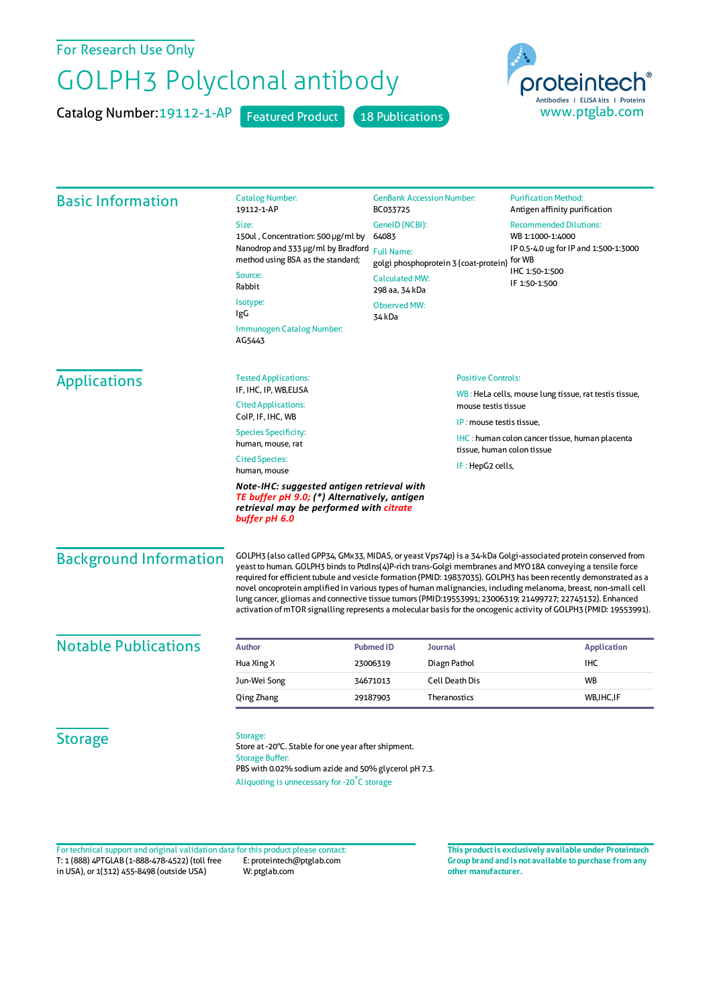For Research Use Only

## GOLPH3 Polyclonal antibody

Catalog Number: 19112-1-AP Featured Product 18 Publications



| <b>Basic Information</b>      | <b>Catalog Number:</b><br>19112-1-AP                                                                                                                                                                                                                                                                                                                                                                                                                                                                                                                                                                                                                                                                | <b>GenBank Accession Number:</b><br>BC033725<br>GenelD (NCBI):<br>64083                                                                |                            | <b>Purification Method:</b><br>Antigen affinity purification<br><b>Recommended Dilutions:</b><br>WB 1:1000-1:4000<br>IP 0.5-4.0 ug for IP and 1:500-1:3000<br>for WB<br>IHC 1:50-1:500<br>IF 1:50-1:500 |                    |
|-------------------------------|-----------------------------------------------------------------------------------------------------------------------------------------------------------------------------------------------------------------------------------------------------------------------------------------------------------------------------------------------------------------------------------------------------------------------------------------------------------------------------------------------------------------------------------------------------------------------------------------------------------------------------------------------------------------------------------------------------|----------------------------------------------------------------------------------------------------------------------------------------|----------------------------|---------------------------------------------------------------------------------------------------------------------------------------------------------------------------------------------------------|--------------------|
|                               | Size:                                                                                                                                                                                                                                                                                                                                                                                                                                                                                                                                                                                                                                                                                               |                                                                                                                                        |                            |                                                                                                                                                                                                         |                    |
|                               | 150ul, Concentration: 500 µg/ml by<br>Nanodrop and 333 µg/ml by Bradford                                                                                                                                                                                                                                                                                                                                                                                                                                                                                                                                                                                                                            |                                                                                                                                        |                            |                                                                                                                                                                                                         |                    |
|                               | method using BSA as the standard;                                                                                                                                                                                                                                                                                                                                                                                                                                                                                                                                                                                                                                                                   | <b>Full Name:</b><br>golgi phosphoprotein 3 (coat-protein)<br><b>Calculated MW:</b><br>298 aa, 34 kDa<br><b>Observed MW:</b><br>34 kDa |                            |                                                                                                                                                                                                         |                    |
|                               | Source:                                                                                                                                                                                                                                                                                                                                                                                                                                                                                                                                                                                                                                                                                             |                                                                                                                                        |                            |                                                                                                                                                                                                         |                    |
|                               | Rabbit                                                                                                                                                                                                                                                                                                                                                                                                                                                                                                                                                                                                                                                                                              |                                                                                                                                        |                            |                                                                                                                                                                                                         |                    |
|                               | Isotype:<br>IgG                                                                                                                                                                                                                                                                                                                                                                                                                                                                                                                                                                                                                                                                                     |                                                                                                                                        |                            |                                                                                                                                                                                                         |                    |
|                               | Immunogen Catalog Number:<br>AG5443                                                                                                                                                                                                                                                                                                                                                                                                                                                                                                                                                                                                                                                                 |                                                                                                                                        |                            |                                                                                                                                                                                                         |                    |
| <b>Applications</b>           | <b>Tested Applications:</b>                                                                                                                                                                                                                                                                                                                                                                                                                                                                                                                                                                                                                                                                         |                                                                                                                                        | <b>Positive Controls:</b>  |                                                                                                                                                                                                         |                    |
|                               | IF, IHC, IP, WB, ELISA<br><b>Cited Applications:</b><br>mouse testis tissue<br>CoIP, IF, IHC, WB                                                                                                                                                                                                                                                                                                                                                                                                                                                                                                                                                                                                    |                                                                                                                                        |                            | WB: HeLa cells, mouse lung tissue, rat testis tissue,                                                                                                                                                   |                    |
|                               |                                                                                                                                                                                                                                                                                                                                                                                                                                                                                                                                                                                                                                                                                                     |                                                                                                                                        | IP: mouse testis tissue,   |                                                                                                                                                                                                         |                    |
|                               | <b>Species Specificity:</b><br>human, mouse, rat                                                                                                                                                                                                                                                                                                                                                                                                                                                                                                                                                                                                                                                    |                                                                                                                                        |                            | IHC: human colon cancer tissue, human placenta                                                                                                                                                          |                    |
|                               | <b>Cited Species:</b><br>IF : HepG2 cells,<br>human, mouse                                                                                                                                                                                                                                                                                                                                                                                                                                                                                                                                                                                                                                          |                                                                                                                                        | tissue, human colon tissue |                                                                                                                                                                                                         |                    |
|                               | Note-IHC: suggested antigen retrieval with<br>TE buffer pH 9.0; (*) Alternatively, antigen<br>retrieval may be performed with citrate<br>buffer pH 6.0                                                                                                                                                                                                                                                                                                                                                                                                                                                                                                                                              |                                                                                                                                        |                            |                                                                                                                                                                                                         |                    |
| <b>Background Information</b> | GOLPH3 (also called GPP34, GMx33, MIDAS, or yeast Vps74p) is a 34-kDa Golgi-associated protein conserved from<br>yeast to human. GOLPH3 binds to PtdIns(4)P-rich trans-Golgi membranes and MYO18A conveying a tensile force<br>required for efficient tubule and vesicle formation (PMID: 19837035). GOLPH3 has been recently demonstrated as a<br>novel oncoprotein amplified in various types of human malignancies, including melanoma, breast, non-small cell<br>lung cancer, gliomas and connective tissue tumors (PMID:19553991; 23006319; 21499727; 22745132). Enhanced<br>activation of mTOR signalling represents a molecular basis for the oncogenic activity of GOLPH3 (PMID: 19553991). |                                                                                                                                        |                            |                                                                                                                                                                                                         |                    |
| <b>Notable Publications</b>   | <b>Author</b>                                                                                                                                                                                                                                                                                                                                                                                                                                                                                                                                                                                                                                                                                       | <b>Pubmed ID</b><br><b>Journal</b>                                                                                                     |                            |                                                                                                                                                                                                         | <b>Application</b> |
|                               | Hua Xing X                                                                                                                                                                                                                                                                                                                                                                                                                                                                                                                                                                                                                                                                                          | 23006319                                                                                                                               | Diagn Pathol               |                                                                                                                                                                                                         | <b>IHC</b>         |
|                               | Jun-Wei Song                                                                                                                                                                                                                                                                                                                                                                                                                                                                                                                                                                                                                                                                                        | 34671013                                                                                                                               | <b>Cell Death Dis</b>      |                                                                                                                                                                                                         | <b>WB</b>          |
|                               | Qing Zhang                                                                                                                                                                                                                                                                                                                                                                                                                                                                                                                                                                                                                                                                                          | 29187903                                                                                                                               | Theranostics               |                                                                                                                                                                                                         | WB, IHC, IF        |
| <b>Storage</b>                | Storage:<br>Store at -20°C. Stable for one year after shipment.<br><b>Storage Buffer:</b><br>PBS with 0.02% sodium azide and 50% glycerol pH 7.3.<br>Aliquoting is unnecessary for -20°C storage                                                                                                                                                                                                                                                                                                                                                                                                                                                                                                    |                                                                                                                                        |                            |                                                                                                                                                                                                         |                    |

T: 1 (888) 4PTGLAB (1-888-478-4522) (toll free in USA), or 1(312) 455-8498 (outside USA) E: proteintech@ptglab.com W: ptglab.com Fortechnical support and original validation data forthis product please contact: **This productis exclusively available under Proteintech**

**Group brand and is not available to purchase from any other manufacturer.**